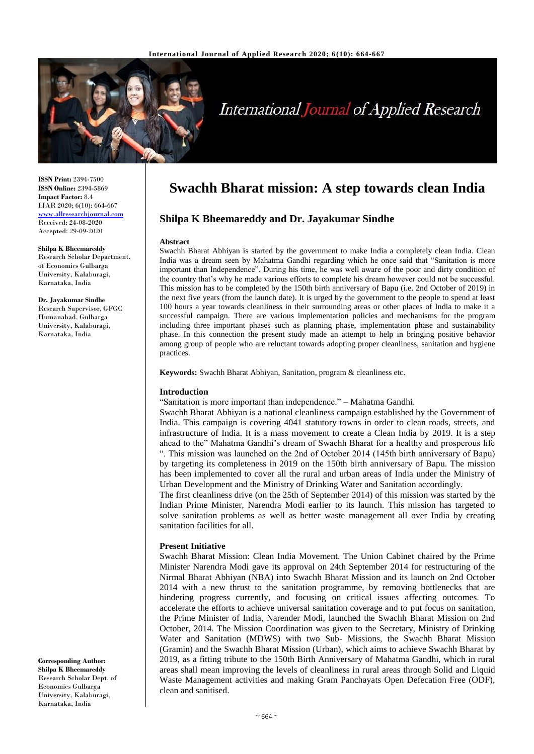

# **International Journal of Applied Research**

**ISSN Print:** 2394-7500 **ISSN Online:** 2394-5869 **Impact Factor:** 8.4 IJAR 2020; 6(10): 664-667 <www.allresearchjournal.com> Received: 24-08-2020 Accepted: 29-09-2020

## **Shilpa K Bheemareddy**

Research Scholar Department. of Economics Gulbarga University, Kalaburagi, Karnataka, India

**Dr. Jayakumar Sindhe** Research Supervisor, GFGC Humanabad, Gulbarga University, Kalaburagi, Karnataka, India

**Corresponding Author: Shilpa K Bheemareddy** Research Scholar Dept. of Economics Gulbarga University, Kalaburagi, Karnataka, India

# **Swachh Bharat mission: A step towards clean India**

# **Shilpa K Bheemareddy and Dr. Jayakumar Sindhe**

#### **Abstract**

Swachh Bharat Abhiyan is started by the government to make India a completely clean India. Clean India was a dream seen by Mahatma Gandhi regarding which he once said that "Sanitation is more important than Independence". During his time, he was well aware of the poor and dirty condition of the country that's why he made various efforts to complete his dream however could not be successful. This mission has to be completed by the 150th birth anniversary of Bapu (i.e. 2nd October of 2019) in the next five years (from the launch date). It is urged by the government to the people to spend at least 100 hours a year towards cleanliness in their surrounding areas or other places of India to make it a successful campaign. There are various implementation policies and mechanisms for the program including three important phases such as planning phase, implementation phase and sustainability phase. In this connection the present study made an attempt to help in bringing positive behavior among group of people who are reluctant towards adopting proper cleanliness, sanitation and hygiene practices.

**Keywords:** Swachh Bharat Abhiyan, Sanitation, program & cleanliness etc.

#### **Introduction**

"Sanitation is more important than independence." – Mahatma Gandhi.

Swachh Bharat Abhiyan is a national cleanliness campaign established by the Government of India. This campaign is covering 4041 statutory towns in order to clean roads, streets, and infrastructure of India. It is a mass movement to create a Clean India by 2019. It is a step ahead to the" Mahatma Gandhi's dream of Swachh Bharat for a healthy and prosperous life ". This mission was launched on the 2nd of October 2014 (145th birth anniversary of Bapu) by targeting its completeness in 2019 on the 150th birth anniversary of Bapu. The mission has been implemented to cover all the rural and urban areas of India under the Ministry of Urban Development and the Ministry of Drinking Water and Sanitation accordingly.

The first cleanliness drive (on the 25th of September 2014) of this mission was started by the Indian Prime Minister, Narendra Modi earlier to its launch. This mission has targeted to solve sanitation problems as well as better waste management all over India by creating sanitation facilities for all.

#### **Present Initiative**

Swachh Bharat Mission: Clean India Movement. The Union Cabinet chaired by the Prime Minister Narendra Modi gave its approval on 24th September 2014 for restructuring of the Nirmal Bharat Abhiyan (NBA) into Swachh Bharat Mission and its launch on 2nd October 2014 with a new thrust to the sanitation programme, by removing bottlenecks that are hindering progress currently, and focusing on critical issues affecting outcomes. To accelerate the efforts to achieve universal sanitation coverage and to put focus on sanitation, the Prime Minister of India, Narender Modi, launched the Swachh Bharat Mission on 2nd October, 2014. The Mission Coordination was given to the Secretary, Ministry of Drinking Water and Sanitation (MDWS) with two Sub- Missions, the Swachh Bharat Mission (Gramin) and the Swachh Bharat Mission (Urban), which aims to achieve Swachh Bharat by 2019, as a fitting tribute to the 150th Birth Anniversary of Mahatma Gandhi, which in rural areas shall mean improving the levels of cleanliness in rural areas through Solid and Liquid Waste Management activities and making Gram Panchayats Open Defecation Free (ODF), clean and sanitised.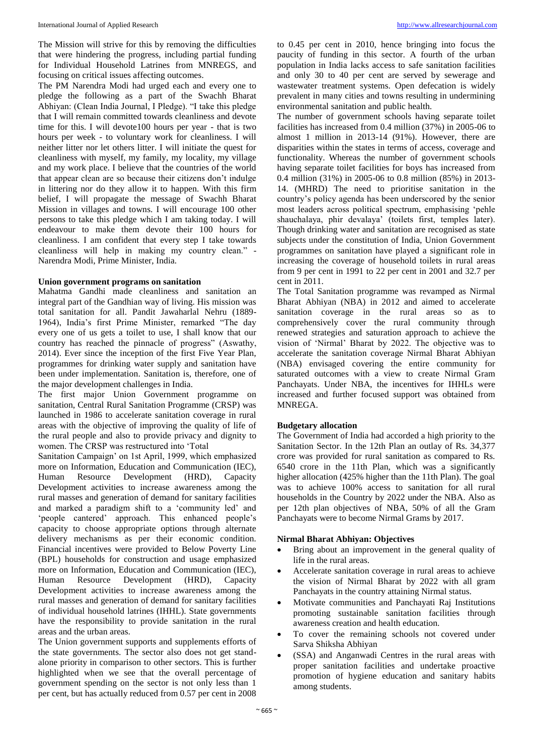The Mission will strive for this by removing the difficulties that were hindering the progress, including partial funding for Individual Household Latrines from MNREGS, and focusing on critical issues affecting outcomes.

The PM Narendra Modi had urged each and every one to pledge the following as a part of the Swachh Bharat Abhiyan: (Clean India Journal, I Pledge). "I take this pledge that I will remain committed towards cleanliness and devote time for this. I will devote100 hours per year - that is two hours per week - to voluntary work for cleanliness. I will neither litter nor let others litter. I will initiate the quest for cleanliness with myself, my family, my locality, my village and my work place. I believe that the countries of the world that appear clean are so because their citizens don't indulge in littering nor do they allow it to happen. With this firm belief, I will propagate the message of Swachh Bharat Mission in villages and towns. I will encourage 100 other persons to take this pledge which I am taking today. I will endeavour to make them devote their 100 hours for cleanliness. I am confident that every step I take towards cleanliness will help in making my country clean." - Narendra Modi, Prime Minister, India.

# **Union government programs on sanitation**

Mahatma Gandhi made cleanliness and sanitation an integral part of the Gandhian way of living. His mission was total sanitation for all. Pandit Jawaharlal Nehru (1889- 1964), India's first Prime Minister, remarked "The day every one of us gets a toilet to use, I shall know that our country has reached the pinnacle of progress" (Aswathy, 2014). Ever since the inception of the first Five Year Plan, programmes for drinking water supply and sanitation have been under implementation. Sanitation is, therefore, one of the major development challenges in India.

The first major Union Government programme on sanitation, Central Rural Sanitation Programme (CRSP) was launched in 1986 to accelerate sanitation coverage in rural areas with the objective of improving the quality of life of the rural people and also to provide privacy and dignity to women. The CRSP was restructured into 'Total

Sanitation Campaign' on 1st April, 1999, which emphasized more on Information, Education and Communication (IEC), Human Resource Development (HRD), Capacity Development activities to increase awareness among the rural masses and generation of demand for sanitary facilities and marked a paradigm shift to a 'community led' and 'people cantered' approach. This enhanced people's capacity to choose appropriate options through alternate delivery mechanisms as per their economic condition. Financial incentives were provided to Below Poverty Line (BPL) households for construction and usage emphasized more on Information, Education and Communication (IEC), Human Resource Development (HRD), Capacity Development activities to increase awareness among the rural masses and generation of demand for sanitary facilities of individual household latrines (IHHL). State governments have the responsibility to provide sanitation in the rural areas and the urban areas.

The Union government supports and supplements efforts of the state governments. The sector also does not get standalone priority in comparison to other sectors. This is further highlighted when we see that the overall percentage of government spending on the sector is not only less than 1 per cent, but has actually reduced from 0.57 per cent in 2008 to 0.45 per cent in 2010, hence bringing into focus the paucity of funding in this sector. A fourth of the urban population in India lacks access to safe sanitation facilities and only 30 to 40 per cent are served by sewerage and wastewater treatment systems. Open defecation is widely prevalent in many cities and towns resulting in undermining environmental sanitation and public health.

The number of government schools having separate toilet facilities has increased from 0.4 million (37%) in 2005-06 to almost 1 million in 2013-14 (91%). However, there are disparities within the states in terms of access, coverage and functionality. Whereas the number of government schools having separate toilet facilities for boys has increased from 0.4 million (31%) in 2005-06 to 0.8 million (85%) in 2013- 14. (MHRD) The need to prioritise sanitation in the country's policy agenda has been underscored by the senior most leaders across political spectrum, emphasising 'pehle shauchalaya, phir devalaya' (toilets first, temples later). Though drinking water and sanitation are recognised as state subjects under the constitution of India, Union Government programmes on sanitation have played a significant role in increasing the coverage of household toilets in rural areas from 9 per cent in 1991 to 22 per cent in 2001 and 32.7 per cent in 2011.

The Total Sanitation programme was revamped as Nirmal Bharat Abhiyan (NBA) in 2012 and aimed to accelerate sanitation coverage in the rural areas so as to comprehensively cover the rural community through renewed strategies and saturation approach to achieve the vision of 'Nirmal' Bharat by 2022. The objective was to accelerate the sanitation coverage Nirmal Bharat Abhiyan (NBA) envisaged covering the entire community for saturated outcomes with a view to create Nirmal Gram Panchayats. Under NBA, the incentives for IHHLs were increased and further focused support was obtained from MNREGA.

# **Budgetary allocation**

The Government of India had accorded a high priority to the Sanitation Sector. In the 12th Plan an outlay of Rs. 34,377 crore was provided for rural sanitation as compared to Rs. 6540 crore in the 11th Plan, which was a significantly higher allocation (425% higher than the 11th Plan). The goal was to achieve 100% access to sanitation for all rural households in the Country by 2022 under the NBA. Also as per 12th plan objectives of NBA, 50% of all the Gram Panchayats were to become Nirmal Grams by 2017.

#### **Nirmal Bharat Abhiyan: Objectives**

- Bring about an improvement in the general quality of life in the rural areas.
- Accelerate sanitation coverage in rural areas to achieve the vision of Nirmal Bharat by 2022 with all gram Panchayats in the country attaining Nirmal status.
- Motivate communities and Panchayati Raj Institutions promoting sustainable sanitation facilities through awareness creation and health education.
- To cover the remaining schools not covered under Sarva Shiksha Abhiyan
- (SSA) and Anganwadi Centres in the rural areas with proper sanitation facilities and undertake proactive promotion of hygiene education and sanitary habits among students.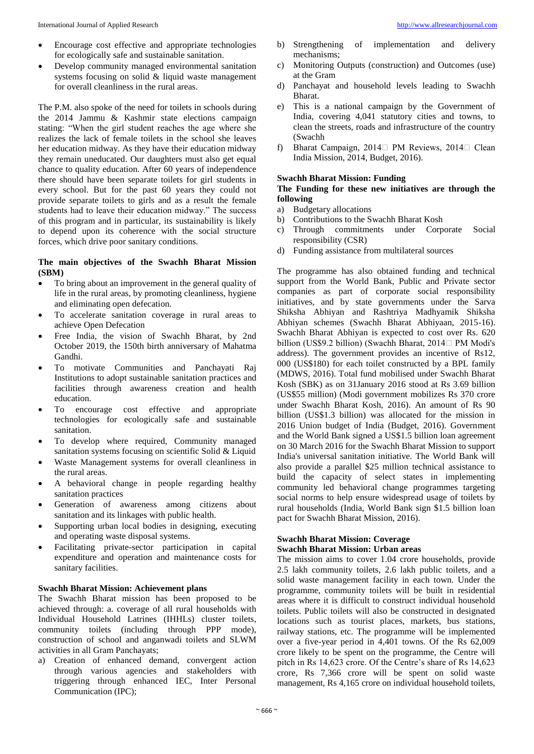- Encourage cost effective and appropriate technologies for ecologically safe and sustainable sanitation.
- Develop community managed environmental sanitation systems focusing on solid  $\&$  liquid waste management for overall cleanliness in the rural areas.

The P.M. also spoke of the need for toilets in schools during the 2014 Jammu & Kashmir state elections campaign stating: "When the girl student reaches the age where she realizes the lack of female toilets in the school she leaves her education midway. As they have their education midway they remain uneducated. Our daughters must also get equal chance to quality education. After 60 years of independence there should have been separate toilets for girl students in every school. But for the past 60 years they could not provide separate toilets to girls and as a result the female students had to leave their education midway." The success of this program and in particular, its sustainability is likely to depend upon its coherence with the social structure forces, which drive poor sanitary conditions.

#### **The main objectives of the Swachh Bharat Mission (SBM)**

- To bring about an improvement in the general quality of life in the rural areas, by promoting cleanliness, hygiene and eliminating open defecation.
- To accelerate sanitation coverage in rural areas to achieve Open Defecation
- Free India, the vision of Swachh Bharat, by 2nd October 2019, the 150th birth anniversary of Mahatma Gandhi.
- To motivate Communities and Panchayati Raj Institutions to adopt sustainable sanitation practices and facilities through awareness creation and health education.
- To encourage cost effective and appropriate technologies for ecologically safe and sustainable sanitation.
- To develop where required, Community managed sanitation systems focusing on scientific Solid & Liquid
- Waste Management systems for overall cleanliness in the rural areas.
- A behavioral change in people regarding healthy sanitation practices
- Generation of awareness among citizens about sanitation and its linkages with public health.
- Supporting urban local bodies in designing, executing and operating waste disposal systems.
- Facilitating private-sector participation in capital expenditure and operation and maintenance costs for sanitary facilities.

# **Swachh Bharat Mission: Achievement plans**

The Swachh Bharat mission has been proposed to be achieved through: a. coverage of all rural households with Individual Household Latrines (IHHLs) cluster toilets, community toilets (including through PPP mode), construction of school and anganwadi toilets and SLWM activities in all Gram Panchayats;

a) Creation of enhanced demand, convergent action through various agencies and stakeholders with triggering through enhanced IEC, Inter Personal Communication (IPC);

- b) Strengthening of implementation and delivery mechanisms;
- c) Monitoring Outputs (construction) and Outcomes (use) at the Gram
- d) Panchayat and household levels leading to Swachh Bharat.
- e) This is a national campaign by the Government of India, covering 4,041 statutory cities and towns, to clean the streets, roads and infrastructure of the country (Swachh
- f) Bharat Campaign, 2014 $\Box$  PM Reviews, 2014 $\Box$  Clean India Mission, 2014, Budget, 2016).

#### **Swachh Bharat Mission: Funding**

#### **The Funding for these new initiatives are through the following**

- a) Budgetary allocations
- b) Contributions to the Swachh Bharat Kosh
- c) Through commitments under Corporate Social responsibility (CSR)
- d) Funding assistance from multilateral sources

The programme has also obtained funding and technical support from the World Bank, Public and Private sector companies as part of corporate social responsibility initiatives, and by state governments under the Sarva Shiksha Abhiyan and Rashtriya Madhyamik Shiksha Abhiyan schemes (Swachh Bharat Abhiyaan, 2015-16). Swachh Bharat Abhiyan is expected to cost over Rs. 620 billion (US\$9.2 billion) (Swachh Bharat, 2014 $\Box$  PM Modi's address). The government provides an incentive of Rs12, 000 (US\$180) for each toilet constructed by a BPL family (MDWS, 2016). Total fund mobilised under Swachh Bharat Kosh (SBK) as on 31January 2016 stood at Rs 3.69 billion (US\$55 million) (Modi government mobilizes Rs 370 crore under Swachh Bharat Kosh, 2016). An amount of Rs 90 billion (US\$1.3 billion) was allocated for the mission in 2016 Union budget of India (Budget, 2016). Government and the World Bank signed a US\$1.5 billion loan agreement on 30 March 2016 for the Swachh Bharat Mission to support India's universal sanitation initiative. The World Bank will also provide a parallel \$25 million technical assistance to build the capacity of select states in implementing community led behavioral change programmes targeting social norms to help ensure widespread usage of toilets by rural households (India, World Bank sign \$1.5 billion loan pact for Swachh Bharat Mission, 2016).

#### **Swachh Bharat Mission: Coverage Swachh Bharat Mission: Urban areas**

The mission aims to cover 1.04 crore households, provide 2.5 lakh community toilets, 2.6 lakh public toilets, and a solid waste management facility in each town. Under the programme, community toilets will be built in residential areas where it is difficult to construct individual household toilets. Public toilets will also be constructed in designated locations such as tourist places, markets, bus stations, railway stations, etc. The programme will be implemented over a five-year period in 4,401 towns. Of the Rs 62,009 crore likely to be spent on the programme, the Centre will pitch in Rs 14,623 crore. Of the Centre's share of Rs 14,623 crore, Rs 7,366 crore will be spent on solid waste management, Rs 4,165 crore on individual household toilets,